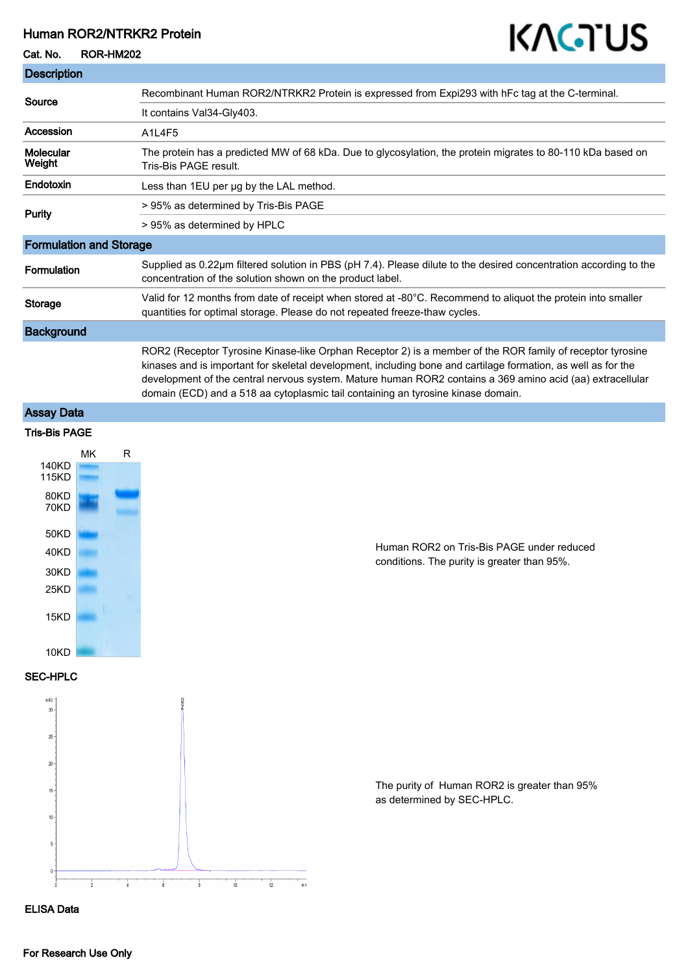## Human ROR2/NTRKR2 Protein

#### Cat. No. ROR-HM202

# KAGTUS

| <b>Description</b>             |                                                                                                                                                                                                                                                                                                                                                                                                                             |
|--------------------------------|-----------------------------------------------------------------------------------------------------------------------------------------------------------------------------------------------------------------------------------------------------------------------------------------------------------------------------------------------------------------------------------------------------------------------------|
| Source                         | Recombinant Human ROR2/NTRKR2 Protein is expressed from Expi293 with hFc tag at the C-terminal.                                                                                                                                                                                                                                                                                                                             |
|                                | It contains Val34-Gly403.                                                                                                                                                                                                                                                                                                                                                                                                   |
| Accession                      | A1L4F5                                                                                                                                                                                                                                                                                                                                                                                                                      |
| <b>Molecular</b><br>Weight     | The protein has a predicted MW of 68 kDa. Due to glycosylation, the protein migrates to 80-110 kDa based on<br>Tris-Bis PAGE result.                                                                                                                                                                                                                                                                                        |
| Endotoxin                      | Less than 1EU per ug by the LAL method.                                                                                                                                                                                                                                                                                                                                                                                     |
| <b>Purity</b>                  | > 95% as determined by Tris-Bis PAGE                                                                                                                                                                                                                                                                                                                                                                                        |
|                                | > 95% as determined by HPLC                                                                                                                                                                                                                                                                                                                                                                                                 |
| <b>Formulation and Storage</b> |                                                                                                                                                                                                                                                                                                                                                                                                                             |
| <b>Formulation</b>             | Supplied as 0.22µm filtered solution in PBS (pH 7.4). Please dilute to the desired concentration according to the<br>concentration of the solution shown on the product label.                                                                                                                                                                                                                                              |
| Storage                        | Valid for 12 months from date of receipt when stored at -80°C. Recommend to aliquot the protein into smaller<br>quantities for optimal storage. Please do not repeated freeze-thaw cycles.                                                                                                                                                                                                                                  |
| <b>Background</b>              |                                                                                                                                                                                                                                                                                                                                                                                                                             |
|                                | ROR2 (Receptor Tyrosine Kinase-like Orphan Receptor 2) is a member of the ROR family of receptor tyrosine<br>kinases and is important for skeletal development, including bone and cartilage formation, as well as for the<br>development of the central nervous system. Mature human ROR2 contains a 369 amino acid (aa) extracellular<br>domain (ECD) and a 518 aa cytoplasmic tail containing an tyrosine kinase domain. |

# Assay Data



Human ROR2 on Tris-Bis PAGE under reduced conditions. The purity is greater than 95%.

SEC-HPLC



The purity of Human ROR2 is greater than 95% as determined by SEC-HPLC.

#### ELISA Data